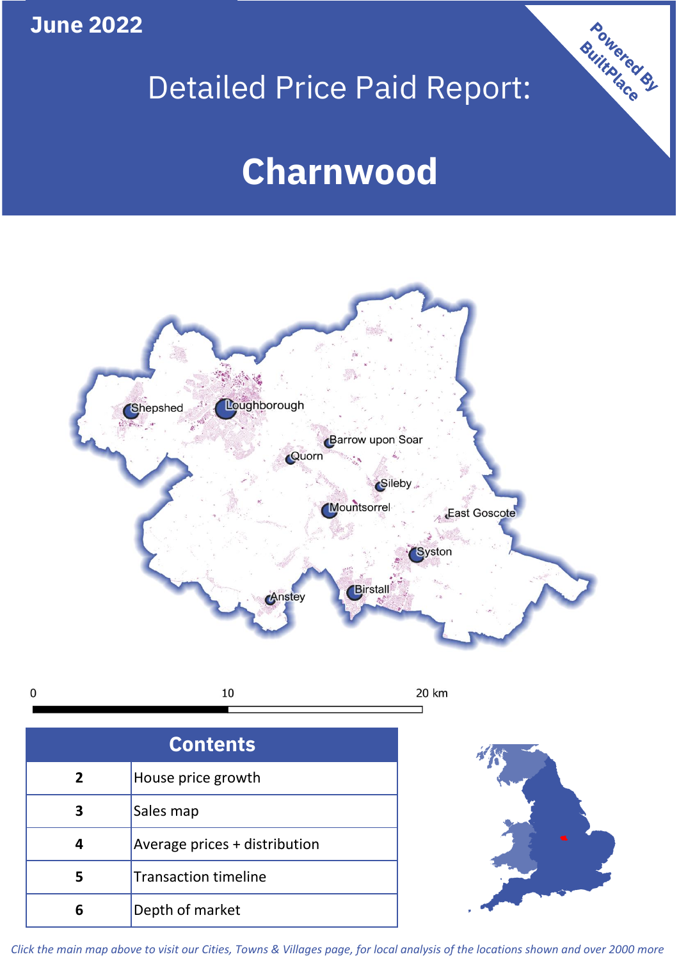**June 2022**

 $\mathbf 0$ 

## Detailed Price Paid Report:

# **Charnwood**



| <b>Contents</b> |                               |  |  |  |
|-----------------|-------------------------------|--|--|--|
| $\overline{2}$  | House price growth            |  |  |  |
| 3               | Sales map                     |  |  |  |
|                 | Average prices + distribution |  |  |  |
| 5               | <b>Transaction timeline</b>   |  |  |  |
|                 | Depth of market               |  |  |  |



Powered By

*Click the main map above to visit our Cities, Towns & Villages page, for local analysis of the locations shown and over 2000 more*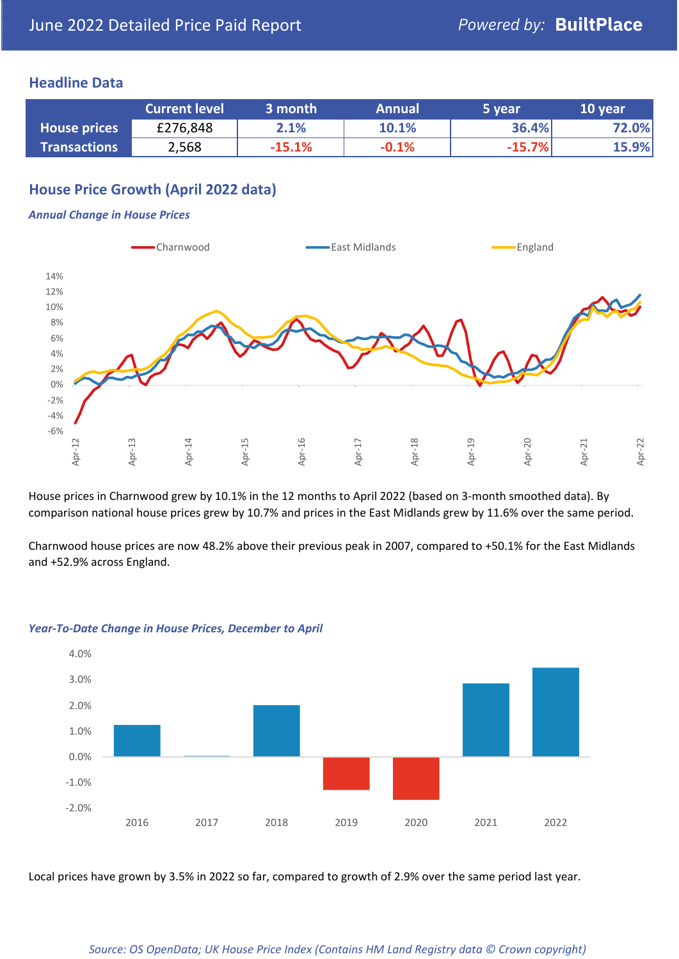## **Headline Data**

|                     | <b>Current level</b> | 3 month  | <b>Annual</b> | '5 year  | 10 year |
|---------------------|----------------------|----------|---------------|----------|---------|
| <b>House prices</b> | £276,848             | 2.1%     | 10.1%         | 36.4%    | 72.0%   |
| <b>Transactions</b> | 2,568                | $-15.1%$ | $-0.1%$       | $-15.7%$ | 15.9%   |

## **House Price Growth (April 2022 data)**

#### *Annual Change in House Prices*



House prices in Charnwood grew by 10.1% in the 12 months to April 2022 (based on 3-month smoothed data). By comparison national house prices grew by 10.7% and prices in the East Midlands grew by 11.6% over the same period.

Charnwood house prices are now 48.2% above their previous peak in 2007, compared to +50.1% for the East Midlands and +52.9% across England.



#### *Year-To-Date Change in House Prices, December to April*

Local prices have grown by 3.5% in 2022 so far, compared to growth of 2.9% over the same period last year.

#### *Source: OS OpenData; UK House Price Index (Contains HM Land Registry data © Crown copyright)*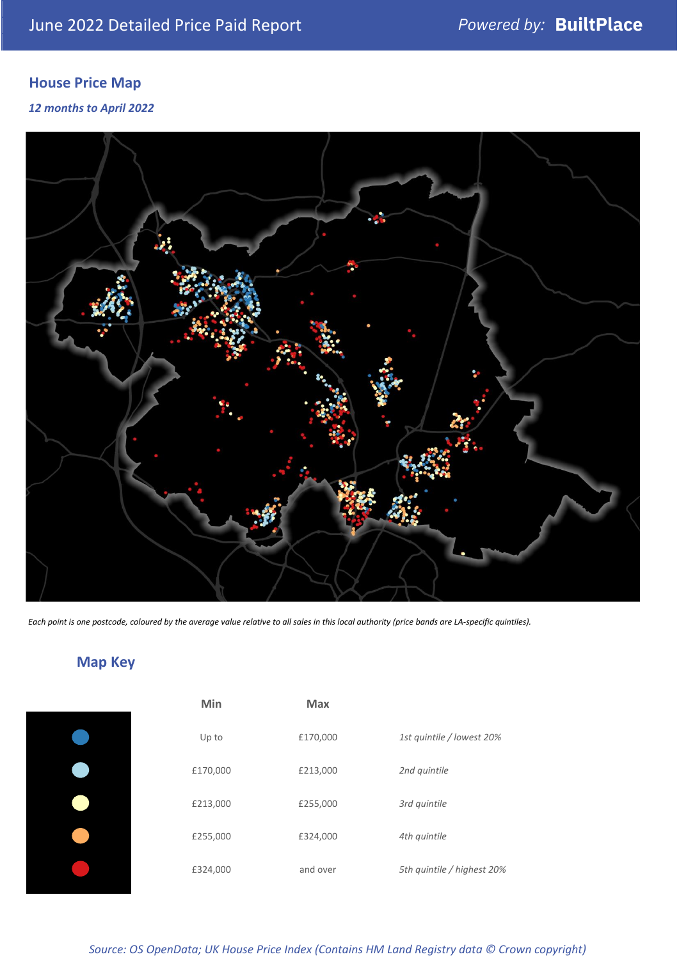## **House Price Map**

*12 months to April 2022*



*Each point is one postcode, coloured by the average value relative to all sales in this local authority (price bands are LA-specific quintiles).*

## **Map Key**

|  | Min      | <b>Max</b> |              |
|--|----------|------------|--------------|
|  | Up to    | £170,000   | 1st quintile |
|  | £170,000 | £213,000   | 2nd quintile |
|  | £213,000 | £255,000   | 3rd quintile |
|  | £255,000 | £324,000   | 4th quintile |
|  | £324,000 | and over   | 5th quintile |
|  |          |            |              |

| Min      | <b>Max</b> |                            |
|----------|------------|----------------------------|
| Up to    | £170,000   | 1st quintile / lowest 20%  |
| £170,000 | £213,000   | 2nd quintile               |
| £213,000 | £255,000   | 3rd quintile               |
| £255,000 | £324,000   | 4th quintile               |
| £324,000 | and over   | 5th quintile / highest 20% |

*Source: OS OpenData; UK House Price Index (Contains HM Land Registry data © Crown copyright)*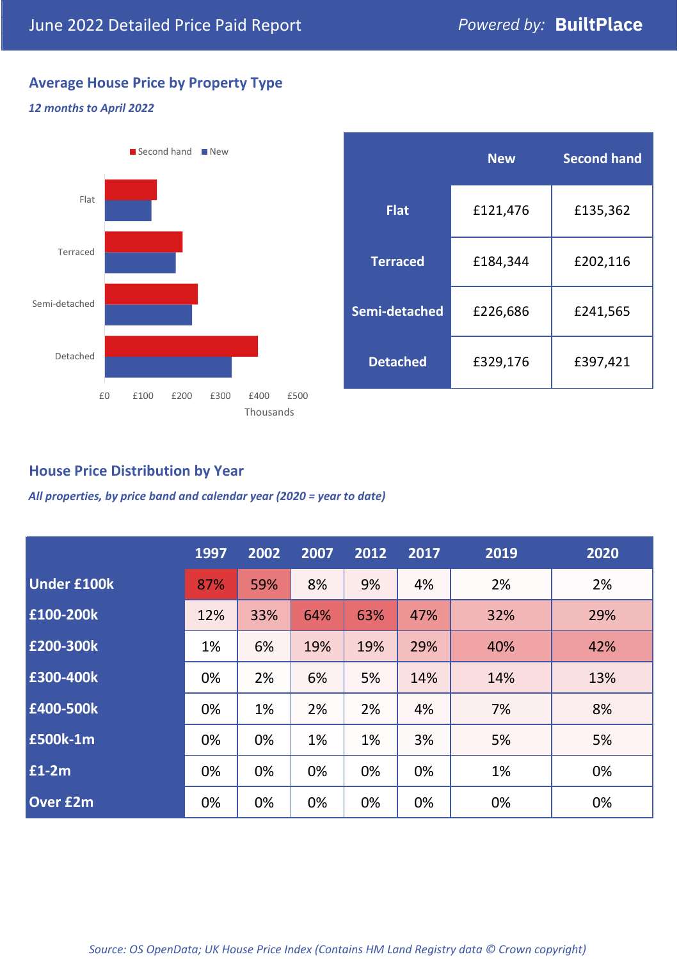## **Average House Price by Property Type**

#### *12 months to April 2022*



|                 | <b>New</b> | <b>Second hand</b> |  |
|-----------------|------------|--------------------|--|
| Flat            | £121,476   | £135,362           |  |
| <b>Terraced</b> | £184,344   | £202,116           |  |
| Semi-detached   | £226,686   | £241,565           |  |
| <b>Detached</b> | £329,176   | £397,421           |  |

## **House Price Distribution by Year**

*All properties, by price band and calendar year (2020 = year to date)*

|                    | 1997 | 2002 | 2007 | 2012 | 2017 | 2019 | 2020 |
|--------------------|------|------|------|------|------|------|------|
| <b>Under £100k</b> | 87%  | 59%  | 8%   | 9%   | 4%   | 2%   | 2%   |
| £100-200k          | 12%  | 33%  | 64%  | 63%  | 47%  | 32%  | 29%  |
| E200-300k          | 1%   | 6%   | 19%  | 19%  | 29%  | 40%  | 42%  |
| £300-400k          | 0%   | 2%   | 6%   | 5%   | 14%  | 14%  | 13%  |
| £400-500k          | 0%   | 1%   | 2%   | 2%   | 4%   | 7%   | 8%   |
| <b>£500k-1m</b>    | 0%   | 0%   | 1%   | 1%   | 3%   | 5%   | 5%   |
| £1-2m              | 0%   | 0%   | 0%   | 0%   | 0%   | 1%   | 0%   |
| <b>Over £2m</b>    | 0%   | 0%   | 0%   | 0%   | 0%   | 0%   | 0%   |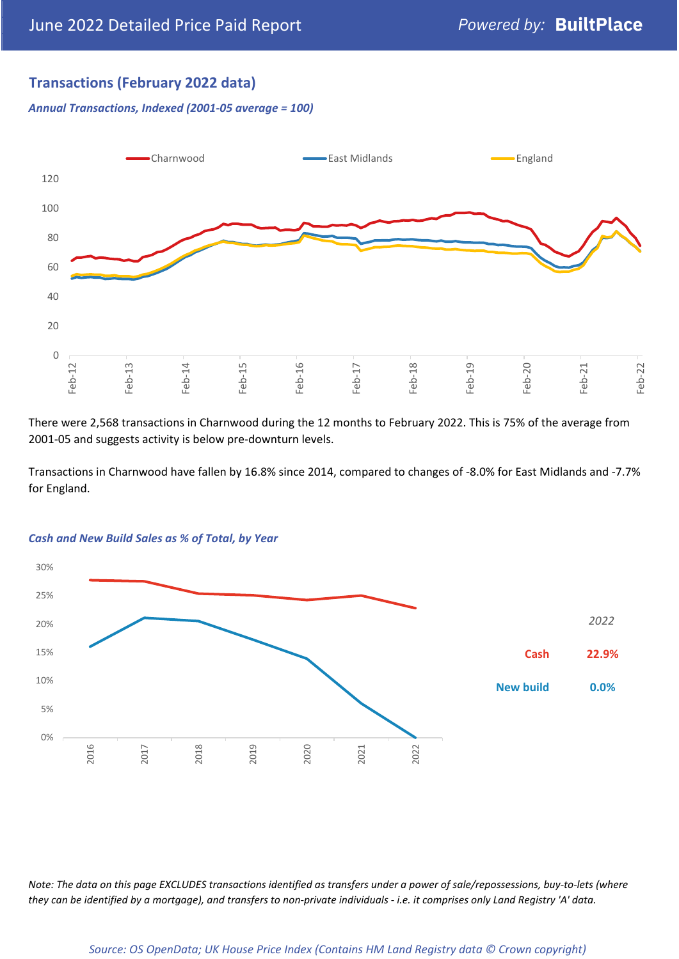## **Transactions (February 2022 data)**

*Annual Transactions, Indexed (2001-05 average = 100)*



There were 2,568 transactions in Charnwood during the 12 months to February 2022. This is 75% of the average from 2001-05 and suggests activity is below pre-downturn levels.

Transactions in Charnwood have fallen by 16.8% since 2014, compared to changes of -8.0% for East Midlands and -7.7% for England.



#### *Cash and New Build Sales as % of Total, by Year*

*Note: The data on this page EXCLUDES transactions identified as transfers under a power of sale/repossessions, buy-to-lets (where they can be identified by a mortgage), and transfers to non-private individuals - i.e. it comprises only Land Registry 'A' data.*